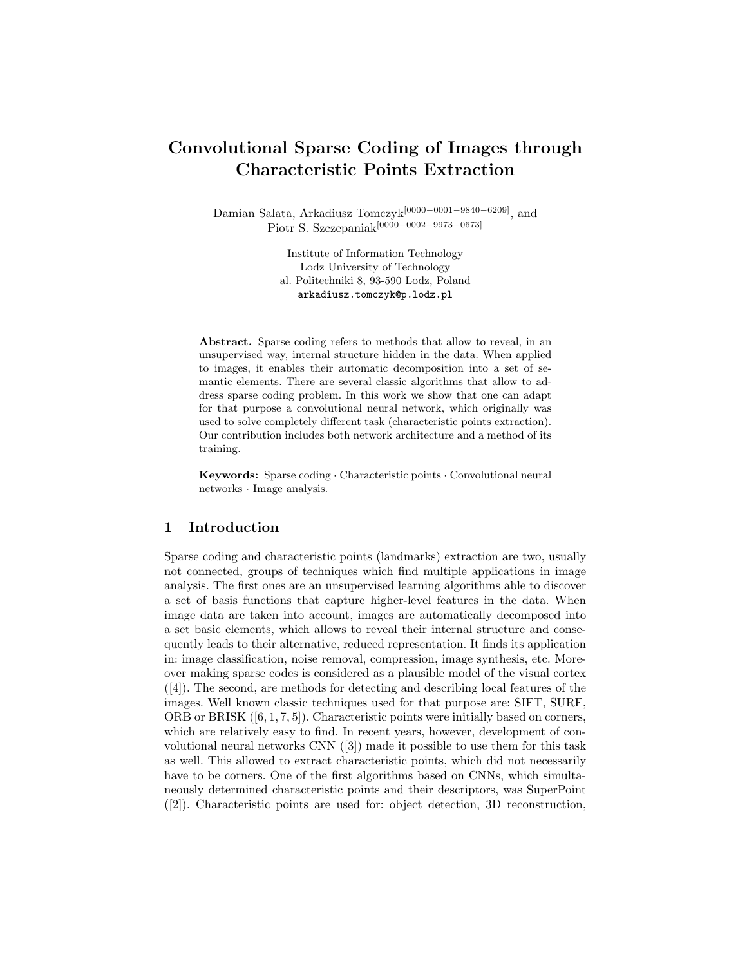# Convolutional Sparse Coding of Images through Characteristic Points Extraction

Damian Salata, Arkadiusz Tomczyk[0000−0001−9840−6209], and Piotr S. Szczepaniak<sup>[00000−0002−9973−0673]</sup>

> Institute of Information Technology Lodz University of Technology al. Politechniki 8, 93-590 Lodz, Poland arkadiusz.tomczyk@p.lodz.pl

Abstract. Sparse coding refers to methods that allow to reveal, in an unsupervised way, internal structure hidden in the data. When applied to images, it enables their automatic decomposition into a set of semantic elements. There are several classic algorithms that allow to address sparse coding problem. In this work we show that one can adapt for that purpose a convolutional neural network, which originally was used to solve completely different task (characteristic points extraction). Our contribution includes both network architecture and a method of its training.

Keywords: Sparse coding · Characteristic points · Convolutional neural networks · Image analysis.

### 1 Introduction

Sparse coding and characteristic points (landmarks) extraction are two, usually not connected, groups of techniques which find multiple applications in image analysis. The first ones are an unsupervised learning algorithms able to discover a set of basis functions that capture higher-level features in the data. When image data are taken into account, images are automatically decomposed into a set basic elements, which allows to reveal their internal structure and consequently leads to their alternative, reduced representation. It finds its application in: image classification, noise removal, compression, image synthesis, etc. Moreover making sparse codes is considered as a plausible model of the visual cortex ([4]). The second, are methods for detecting and describing local features of the images. Well known classic techniques used for that purpose are: SIFT, SURF, ORB or BRISK  $([6, 1, 7, 5])$ . Characteristic points were initially based on corners, which are relatively easy to find. In recent years, however, development of convolutional neural networks CNN ([3]) made it possible to use them for this task as well. This allowed to extract characteristic points, which did not necessarily have to be corners. One of the first algorithms based on CNNs, which simultaneously determined characteristic points and their descriptors, was SuperPoint ([2]). Characteristic points are used for: object detection, 3D reconstruction,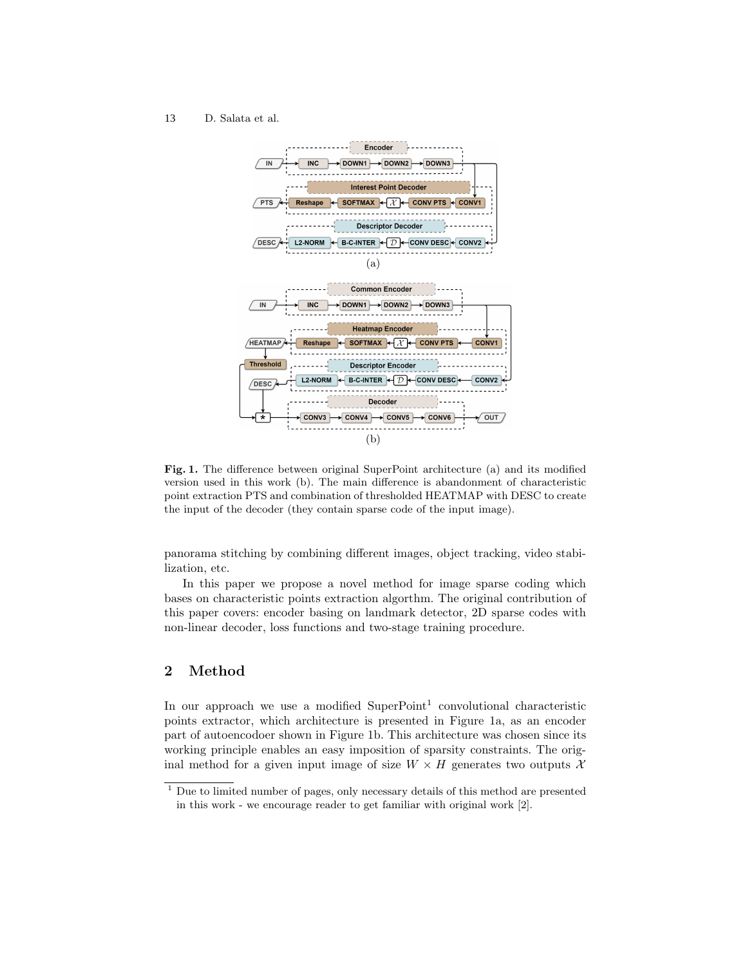#### D. Salata et al. 13



Fig. 1. The difference between original SuperPoint architecture (a) and its modified version used in this work (b). The main difference is abandonment of characteristic point extraction PTS and combination of thresholded HEATMAP with DESC to create the input of the decoder (they contain sparse code of the input image).

panorama stitching by combining different images, object tracking, video stabilization, etc.

In this paper we propose a novel method for image sparse coding which bases on characteristic points extraction algorthm. The original contribution of this paper covers: encoder basing on landmark detector, 2D sparse codes with non-linear decoder, loss functions and two-stage training procedure.

# 2 Method

In our approach we use a modified  $SuperPoint<sup>1</sup>$  convolutional characteristic points extractor, which architecture is presented in Figure 1a, as an encoder part of autoencodoer shown in Figure 1b. This architecture was chosen since its working principle enables an easy imposition of sparsity constraints. The original method for a given input image of size  $W \times H$  generates two outputs X

<sup>&</sup>lt;sup>1</sup> Due to limited number of pages, only necessary details of this method are presented in this work - we encourage reader to get familiar with original work [2].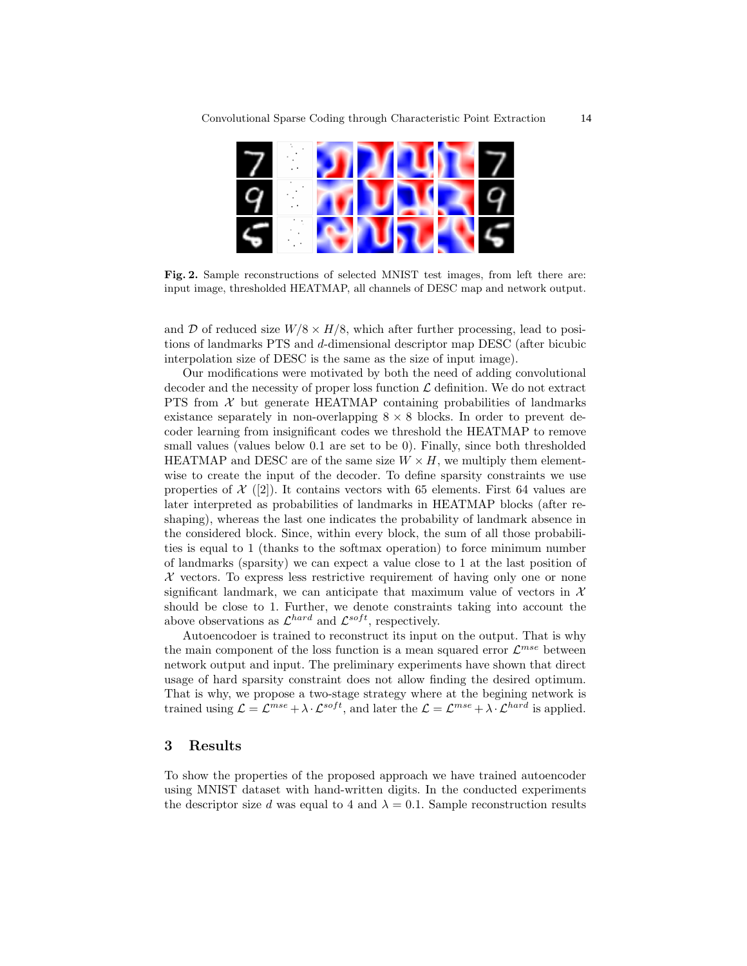

Fig. 2. Sample reconstructions of selected MNIST test images, from left there are: input image, thresholded HEATMAP, all channels of DESC map and network output.

and D of reduced size  $W/8 \times H/8$ , which after further processing, lead to positions of landmarks PTS and d-dimensional descriptor map DESC (after bicubic interpolation size of DESC is the same as the size of input image).

Our modifications were motivated by both the need of adding convolutional decoder and the necessity of proper loss function  $\mathcal L$  definition. We do not extract PTS from  $X$  but generate HEATMAP containing probabilities of landmarks existance separately in non-overlapping  $8 \times 8$  blocks. In order to prevent decoder learning from insignificant codes we threshold the HEATMAP to remove small values (values below 0.1 are set to be 0). Finally, since both thresholded HEATMAP and DESC are of the same size  $W \times H$ , we multiply them elementwise to create the input of the decoder. To define sparsity constraints we use properties of  $\mathcal{X}$  ([2]). It contains vectors with 65 elements. First 64 values are later interpreted as probabilities of landmarks in HEATMAP blocks (after reshaping), whereas the last one indicates the probability of landmark absence in the considered block. Since, within every block, the sum of all those probabilities is equal to 1 (thanks to the softmax operation) to force minimum number of landmarks (sparsity) we can expect a value close to 1 at the last position of  $X$  vectors. To express less restrictive requirement of having only one or none significant landmark, we can anticipate that maximum value of vectors in  $\mathcal{X}$ should be close to 1. Further, we denote constraints taking into account the above observations as  $\mathcal{L}^{hard}$  and  $\mathcal{L}^{soft}$ , respectively.

Autoencodoer is trained to reconstruct its input on the output. That is why the main component of the loss function is a mean squared error  $\mathcal{L}^{mse}$  between network output and input. The preliminary experiments have shown that direct usage of hard sparsity constraint does not allow finding the desired optimum. That is why, we propose a two-stage strategy where at the begining network is trained using  $\mathcal{L} = \mathcal{L}^{mse} + \lambda \cdot \mathcal{L}^{soft}$ , and later the  $\mathcal{L} = \mathcal{L}^{mse} + \lambda \cdot \mathcal{L}^{hard}$  is applied.

# 3 Results

To show the properties of the proposed approach we have trained autoencoder using MNIST dataset with hand-written digits. In the conducted experiments the descriptor size d was equal to 4 and  $\lambda = 0.1$ . Sample reconstruction results